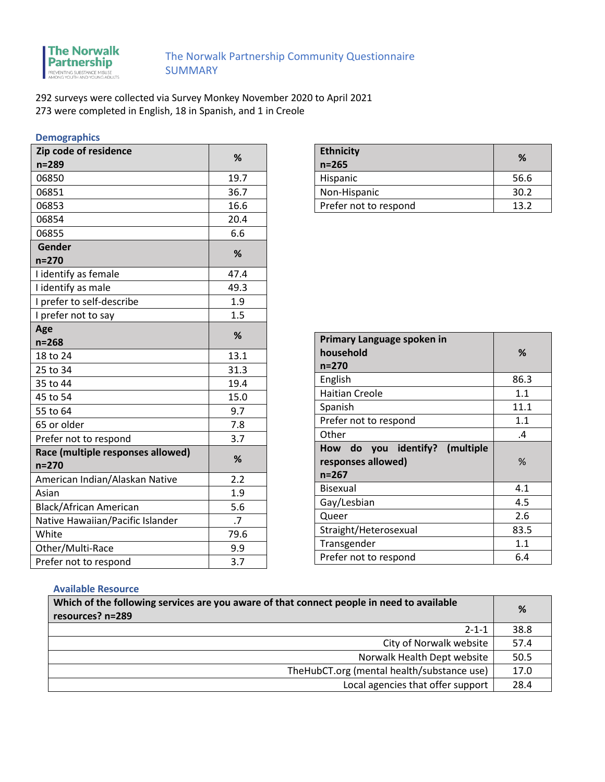

292 surveys were collected via Survey Monkey November 2020 to April 2021 273 were completed in English, 18 in Spanish, and 1 in Creole

# **Demographics**

| Zip code of residence             | %    |
|-----------------------------------|------|
| $n = 289$                         |      |
| 06850                             | 19.7 |
| 06851                             | 36.7 |
| 06853                             | 16.6 |
| 06854                             | 20.4 |
| 06855                             | 6.6  |
| Gender                            | ℅    |
| $n = 270$                         |      |
| I identify as female              | 47.4 |
| I identify as male                | 49.3 |
| I prefer to self-describe         | 1.9  |
| I prefer not to say               | 1.5  |
| Age                               | %    |
| $n = 268$                         |      |
| 18 to 24                          | 13.1 |
| 25 to 34                          | 31.3 |
| 35 to 44                          | 19.4 |
| 45 to 54                          | 15.0 |
| 55 to 64                          | 9.7  |
| 65 or older                       | 7.8  |
| Prefer not to respond             | 3.7  |
| Race (multiple responses allowed) | %    |
| $n = 270$                         |      |
| American Indian/Alaskan Native    | 2.2  |
| Asian                             | 1.9  |
| <b>Black/African American</b>     | 5.6  |
| Native Hawaiian/Pacific Islander  | .7   |
| White                             | 79.6 |
| Other/Multi-Race                  | 9.9  |
| Prefer not to respond             | 3.7  |

| <b>Ethnicity</b><br>$n = 265$ | ℅    |
|-------------------------------|------|
| Hispanic                      | 56.6 |
| Non-Hispanic                  | 30.2 |
| Prefer not to respond         | 13.2 |

| Primary Language spoken in        |      |
|-----------------------------------|------|
| household                         | ℅    |
| $n = 270$                         |      |
| English                           | 86.3 |
| <b>Haitian Creole</b>             | 1.1  |
| Spanish                           | 11.1 |
| Prefer not to respond             | 1.1  |
| Other                             | .4   |
| do you identify? (multiple<br>How |      |
| responses allowed)                |      |
|                                   | %    |
| $n = 267$                         |      |
| <b>Bisexual</b>                   | 4.1  |
| Gay/Lesbian                       | 4.5  |
| Queer                             | 2.6  |
| Straight/Heterosexual             | 83.5 |
| Transgender                       | 1.1  |

#### **Available Resource**

| Which of the following services are you aware of that connect people in need to available<br>resources? n=289 |      |
|---------------------------------------------------------------------------------------------------------------|------|
| $2 - 1 - 1$                                                                                                   | 38.8 |
| City of Norwalk website                                                                                       | 57.4 |
| Norwalk Health Dept website                                                                                   | 50.5 |
| TheHubCT.org (mental health/substance use)                                                                    | 17.0 |
| Local agencies that offer support                                                                             | 28.4 |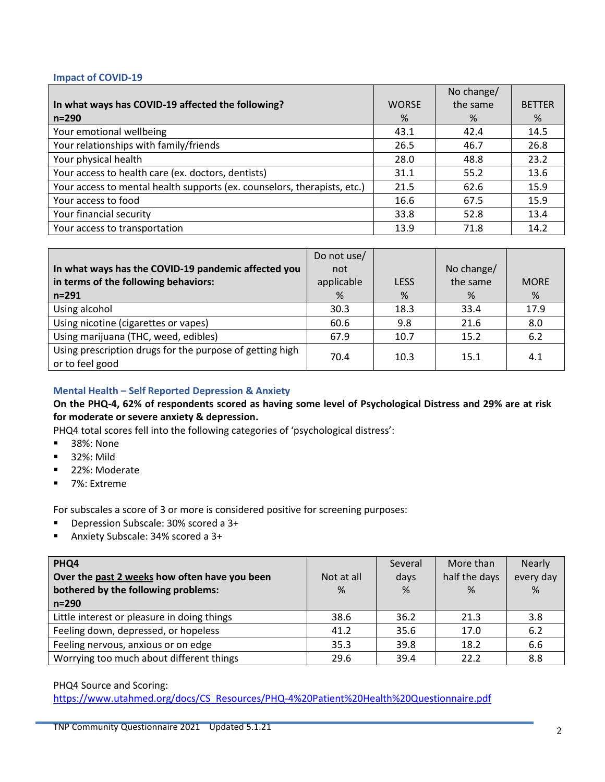#### **Impact of COVID-19**

|                                                                          |              | No change/ |               |
|--------------------------------------------------------------------------|--------------|------------|---------------|
| In what ways has COVID-19 affected the following?                        | <b>WORSE</b> | the same   | <b>BETTER</b> |
| $n = 290$                                                                | %            | %          | %             |
| Your emotional wellbeing                                                 | 43.1         | 42.4       | 14.5          |
| Your relationships with family/friends                                   | 26.5         | 46.7       | 26.8          |
| Your physical health                                                     | 28.0         | 48.8       | 23.2          |
| Your access to health care (ex. doctors, dentists)                       | 31.1         | 55.2       | 13.6          |
| Your access to mental health supports (ex. counselors, therapists, etc.) | 21.5         | 62.6       | 15.9          |
| Your access to food                                                      | 16.6         | 67.5       | 15.9          |
| Your financial security                                                  | 33.8         | 52.8       | 13.4          |
| Your access to transportation                                            | 13.9         | 71.8       | 14.2          |

|                                                                             | Do not use/ |             |            |             |
|-----------------------------------------------------------------------------|-------------|-------------|------------|-------------|
| In what ways has the COVID-19 pandemic affected you                         | not         |             | No change/ |             |
| in terms of the following behaviors:                                        | applicable  | <b>LESS</b> | the same   | <b>MORE</b> |
| $n = 291$                                                                   | %           | %           | %          | %           |
| Using alcohol                                                               | 30.3        | 18.3        | 33.4       | 17.9        |
| Using nicotine (cigarettes or vapes)                                        | 60.6        | 9.8         | 21.6       | 8.0         |
| Using marijuana (THC, weed, edibles)                                        | 67.9        | 10.7        | 15.2       | 6.2         |
| Using prescription drugs for the purpose of getting high<br>or to feel good | 70.4        | 10.3        | 15.1       | 4.1         |

# **Mental Health – Self Reported Depression & Anxiety**

## **On the PHQ-4, 62% of respondents scored as having some level of Psychological Distress and 29% are at risk for moderate or severe anxiety & depression.**

PHQ4 total scores fell into the following categories of 'psychological distress':

- 38%: None
- 32%: Mild
- 22%: Moderate
- 7%: Extreme

For subscales a score of 3 or more is considered positive for screening purposes:

- Depression Subscale: 30% scored a 3+
- Anxiety Subscale: 34% scored a 3+

| PHQ4<br>Over the past 2 weeks how often have you been<br>bothered by the following problems:<br>$n = 290$ | Not at all<br>% | Several<br>days<br>% | More than<br>half the days<br>% | <b>Nearly</b><br>every day<br>% |
|-----------------------------------------------------------------------------------------------------------|-----------------|----------------------|---------------------------------|---------------------------------|
| Little interest or pleasure in doing things                                                               | 38.6            | 36.2                 | 21.3                            | 3.8                             |
| Feeling down, depressed, or hopeless                                                                      | 41.2            | 35.6                 | 17.0                            | 6.2                             |
| Feeling nervous, anxious or on edge                                                                       | 35.3            | 39.8                 | 18.2                            | 6.6                             |
| Worrying too much about different things                                                                  | 29.6            | 39.4                 | 22.2                            | 8.8                             |

#### PHQ4 Source and Scoring:

[https://www.utahmed.org/docs/CS\\_Resources/PHQ-4%20Patient%20Health%20Questionnaire.pdf](https://www.utahmed.org/docs/CS_Resources/PHQ-4%20Patient%20Health%20Questionnaire.pdf)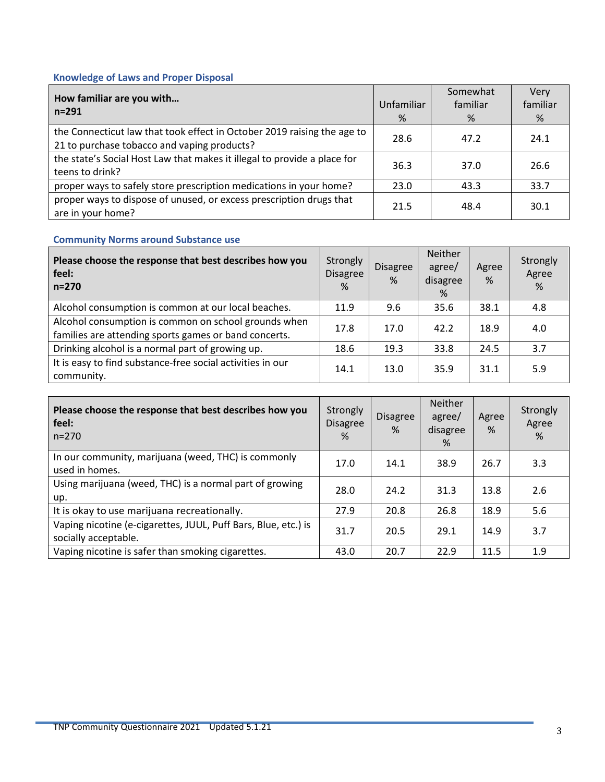# **Knowledge of Laws and Proper Disposal**

| How familiar are you with<br>$n = 291$                                                                                 | Unfamiliar<br>% | Somewhat<br>familiar<br>% | Very<br>familiar<br>% |
|------------------------------------------------------------------------------------------------------------------------|-----------------|---------------------------|-----------------------|
| the Connecticut law that took effect in October 2019 raising the age to<br>21 to purchase tobacco and vaping products? | 28.6            | 47.2                      | 24.1                  |
| the state's Social Host Law that makes it illegal to provide a place for<br>teens to drink?                            | 36.3            | 37.0                      | 26.6                  |
| proper ways to safely store prescription medications in your home?                                                     | 23.0            | 43.3                      | 33.7                  |
| proper ways to dispose of unused, or excess prescription drugs that<br>are in your home?                               | 21.5            | 48.4                      | 30.1                  |

# **Community Norms around Substance use**

| Please choose the response that best describes how you<br>feel:<br>$n = 270$                                  | Strongly<br><b>Disagree</b><br>% | <b>Disagree</b><br>% | Neither<br>agree/<br>disagree<br>% | Agree<br>% | Strongly<br>Agree<br>% |
|---------------------------------------------------------------------------------------------------------------|----------------------------------|----------------------|------------------------------------|------------|------------------------|
| Alcohol consumption is common at our local beaches.                                                           | 11.9                             | 9.6                  | 35.6                               | 38.1       | 4.8                    |
| Alcohol consumption is common on school grounds when<br>families are attending sports games or band concerts. | 17.8                             | 17.0                 | 42.2                               | 18.9       | 4.0                    |
| Drinking alcohol is a normal part of growing up.                                                              | 18.6                             | 19.3                 | 33.8                               | 24.5       | 3.7                    |
| It is easy to find substance-free social activities in our<br>community.                                      | 14.1                             | 13.0                 | 35.9                               | 31.1       | 5.9                    |

| Please choose the response that best describes how you<br>feel:<br>$n = 270$           | Strongly<br><b>Disagree</b><br>$\frac{9}{6}$ | <b>Disagree</b><br>% | <b>Neither</b><br>agree/<br>disagree<br>% | Agree<br>% | Strongly<br>Agree<br>% |
|----------------------------------------------------------------------------------------|----------------------------------------------|----------------------|-------------------------------------------|------------|------------------------|
| In our community, marijuana (weed, THC) is commonly<br>used in homes.                  | 17.0                                         | 14.1                 | 38.9                                      | 26.7       | 3.3                    |
| Using marijuana (weed, THC) is a normal part of growing<br>up.                         | 28.0                                         | 24.2                 | 31.3                                      | 13.8       | 2.6                    |
| It is okay to use marijuana recreationally.                                            | 27.9                                         | 20.8                 | 26.8                                      | 18.9       | 5.6                    |
| Vaping nicotine (e-cigarettes, JUUL, Puff Bars, Blue, etc.) is<br>socially acceptable. | 31.7                                         | 20.5                 | 29.1                                      | 14.9       | 3.7                    |
| Vaping nicotine is safer than smoking cigarettes.                                      | 43.0                                         | 20.7                 | 22.9                                      | 11.5       | 1.9                    |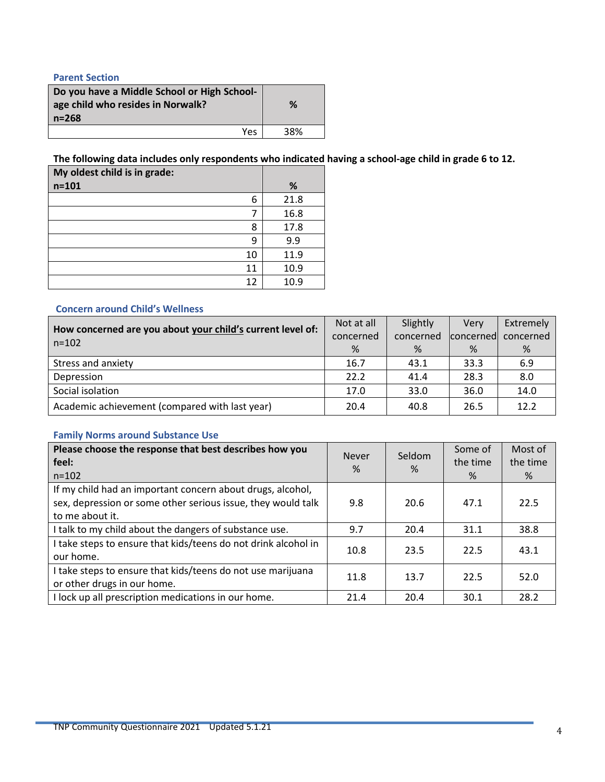# **Parent Section**

| Do you have a Middle School or High School-<br>age child who resides in Norwalk?<br>$n = 268$ | %   |
|-----------------------------------------------------------------------------------------------|-----|
| Yes                                                                                           | 38% |

**The following data includes only respondents who indicated having a school-age child in grade 6 to 12.** 

| My oldest child is in grade: |    |      |
|------------------------------|----|------|
| $n = 101$                    |    | %    |
|                              | 6  | 21.8 |
|                              |    | 16.8 |
|                              | 8  | 17.8 |
|                              | 9  | 9.9  |
|                              | 10 | 11.9 |
|                              | 11 | 10.9 |
|                              | 12 | 10.9 |

## **Concern around Child's Wellness**

| How concerned are you about your child's current level of:<br>$n = 102$ | Not at all | Slightly  | Verv             | Extremely |
|-------------------------------------------------------------------------|------------|-----------|------------------|-----------|
|                                                                         | concerned  | concerned | <b>concerned</b> | concerned |
|                                                                         | %          | %         | %                | %         |
| Stress and anxiety                                                      | 16.7       | 43.1      | 33.3             | 6.9       |
| Depression                                                              | 22.2       | 41.4      | 28.3             | 8.0       |
| Social isolation                                                        | 17.0       | 33.0      | 36.0             | 14.0      |
| Academic achievement (compared with last year)                          | 20.4       | 40.8      | 26.5             | 12.2      |

## **Family Norms around Substance Use**

| Please choose the response that best describes how you<br>feel:<br>$n = 102$                                                                  | <b>Never</b><br>% | Seldom<br>% | Some of<br>the time<br>$\%$ | Most of<br>the time<br>% |
|-----------------------------------------------------------------------------------------------------------------------------------------------|-------------------|-------------|-----------------------------|--------------------------|
| If my child had an important concern about drugs, alcohol,<br>sex, depression or some other serious issue, they would talk<br>to me about it. | 9.8               | 20.6        | 47.1                        | 22.5                     |
| I talk to my child about the dangers of substance use.                                                                                        | 9.7               | 20.4        | 31.1                        | 38.8                     |
| I take steps to ensure that kids/teens do not drink alcohol in<br>our home.                                                                   | 10.8              | 23.5        | 22.5                        | 43.1                     |
| I take steps to ensure that kids/teens do not use marijuana<br>or other drugs in our home.                                                    | 11.8              | 13.7        | 22.5                        | 52.0                     |
| I lock up all prescription medications in our home.                                                                                           | 21.4              | 20.4        | 30.1                        | 28.2                     |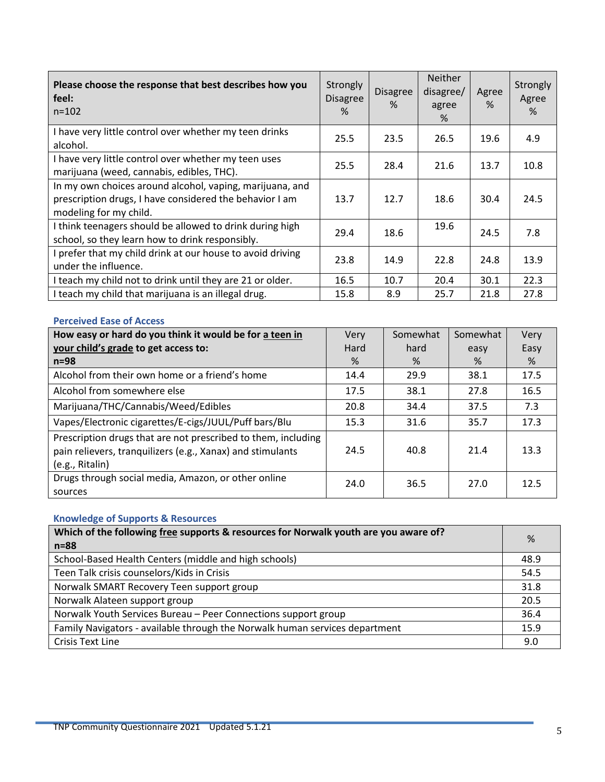| Please choose the response that best describes how you<br>feel:<br>$n = 102$                                                                  | Strongly<br><b>Disagree</b><br>% | <b>Disagree</b><br>$\%$ | <b>Neither</b><br>disagree/<br>agree<br>% | Agree<br>% | Strongly<br>Agree<br>% |
|-----------------------------------------------------------------------------------------------------------------------------------------------|----------------------------------|-------------------------|-------------------------------------------|------------|------------------------|
| I have very little control over whether my teen drinks<br>alcohol.                                                                            | 25.5                             | 23.5                    | 26.5                                      | 19.6       | 4.9                    |
| I have very little control over whether my teen uses<br>marijuana (weed, cannabis, edibles, THC).                                             | 25.5                             | 28.4                    | 21.6                                      | 13.7       | 10.8                   |
| In my own choices around alcohol, vaping, marijuana, and<br>prescription drugs, I have considered the behavior I am<br>modeling for my child. | 13.7                             | 12.7                    | 18.6                                      | 30.4       | 24.5                   |
| I think teenagers should be allowed to drink during high<br>school, so they learn how to drink responsibly.                                   | 29.4                             | 18.6                    | 19.6                                      | 24.5       | 7.8                    |
| I prefer that my child drink at our house to avoid driving<br>under the influence.                                                            | 23.8                             | 14.9                    | 22.8                                      | 24.8       | 13.9                   |
| I teach my child not to drink until they are 21 or older.                                                                                     | 16.5                             | 10.7                    | 20.4                                      | 30.1       | 22.3                   |
| I teach my child that marijuana is an illegal drug.                                                                                           | 15.8                             | 8.9                     | 25.7                                      | 21.8       | 27.8                   |

# **Perceived Ease of Access**

| How easy or hard do you think it would be for a teen in                                                                                        | Very | Somewhat | Somewhat | Very |
|------------------------------------------------------------------------------------------------------------------------------------------------|------|----------|----------|------|
| your child's grade to get access to:                                                                                                           | Hard | hard     | easy     | Easy |
| $n=98$                                                                                                                                         | %    | %        | %        | %    |
| Alcohol from their own home or a friend's home                                                                                                 | 14.4 | 29.9     | 38.1     | 17.5 |
| Alcohol from somewhere else                                                                                                                    | 17.5 | 38.1     | 27.8     | 16.5 |
| Marijuana/THC/Cannabis/Weed/Edibles                                                                                                            | 20.8 | 34.4     | 37.5     | 7.3  |
| Vapes/Electronic cigarettes/E-cigs/JUUL/Puff bars/Blu                                                                                          | 15.3 | 31.6     | 35.7     | 17.3 |
| Prescription drugs that are not prescribed to them, including<br>pain relievers, tranquilizers (e.g., Xanax) and stimulants<br>(e.g., Ritalin) | 24.5 | 40.8     | 21.4     | 13.3 |
| Drugs through social media, Amazon, or other online<br>sources                                                                                 | 24.0 | 36.5     | 27.0     | 12.5 |

# **Knowledge of Supports & Resources**

| Which of the following free supports & resources for Norwalk youth are you aware of? | %    |
|--------------------------------------------------------------------------------------|------|
| $n = 88$                                                                             |      |
| School-Based Health Centers (middle and high schools)                                | 48.9 |
| Teen Talk crisis counselors/Kids in Crisis                                           | 54.5 |
| Norwalk SMART Recovery Teen support group                                            | 31.8 |
| Norwalk Alateen support group                                                        | 20.5 |
| Norwalk Youth Services Bureau - Peer Connections support group                       | 36.4 |
| Family Navigators - available through the Norwalk human services department          | 15.9 |
| Crisis Text Line                                                                     | 9.0  |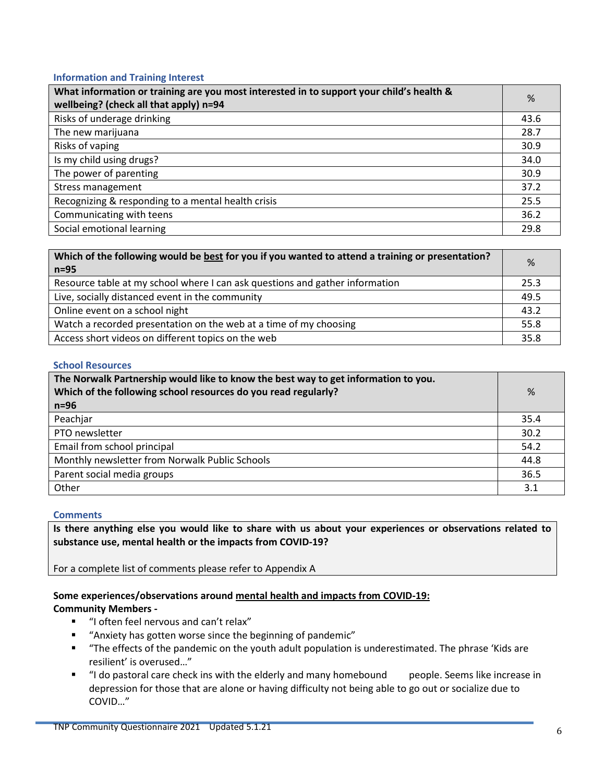## **Information and Training Interest**

| What information or training are you most interested in to support your child's health &<br>wellbeing? (check all that apply) n=94 | %    |
|------------------------------------------------------------------------------------------------------------------------------------|------|
| Risks of underage drinking                                                                                                         | 43.6 |
| The new marijuana                                                                                                                  | 28.7 |
| Risks of vaping                                                                                                                    | 30.9 |
| Is my child using drugs?                                                                                                           | 34.0 |
| The power of parenting                                                                                                             | 30.9 |
| <b>Stress management</b>                                                                                                           | 37.2 |
| Recognizing & responding to a mental health crisis                                                                                 | 25.5 |
| Communicating with teens                                                                                                           | 36.2 |
| Social emotional learning                                                                                                          | 29.8 |

| Which of the following would be best for you if you wanted to attend a training or presentation? | %    |
|--------------------------------------------------------------------------------------------------|------|
| $n=95$                                                                                           |      |
| Resource table at my school where I can ask questions and gather information                     | 25.3 |
| Live, socially distanced event in the community                                                  | 49.5 |
| Online event on a school night                                                                   | 43.2 |
| Watch a recorded presentation on the web at a time of my choosing                                | 55.8 |
| Access short videos on different topics on the web                                               | 35.8 |

#### **School Resources**

| The Norwalk Partnership would like to know the best way to get information to you.<br>Which of the following school resources do you read regularly?<br>$n=96$ | %    |
|----------------------------------------------------------------------------------------------------------------------------------------------------------------|------|
| Peachjar                                                                                                                                                       | 35.4 |
| PTO newsletter                                                                                                                                                 | 30.2 |
| Email from school principal                                                                                                                                    | 54.2 |
| Monthly newsletter from Norwalk Public Schools                                                                                                                 | 44.8 |
| Parent social media groups                                                                                                                                     | 36.5 |
| Other                                                                                                                                                          | 3.1  |

## **Comments**

**Is there anything else you would like to share with us about your experiences or observations related to substance use, mental health or the impacts from COVID-19?** 

For a complete list of comments please refer to Appendix A

# **Some experiences/observations around mental health and impacts from COVID-19:**

# **Community Members -**

- "I often feel nervous and can't relax"
- "Anxiety has gotten worse since the beginning of pandemic"
- "The effects of the pandemic on the youth adult population is underestimated. The phrase 'Kids are resilient' is overused…"
- "I do pastoral care check ins with the elderly and many homebound people. Seems like increase in depression for those that are alone or having difficulty not being able to go out or socialize due to COVID…"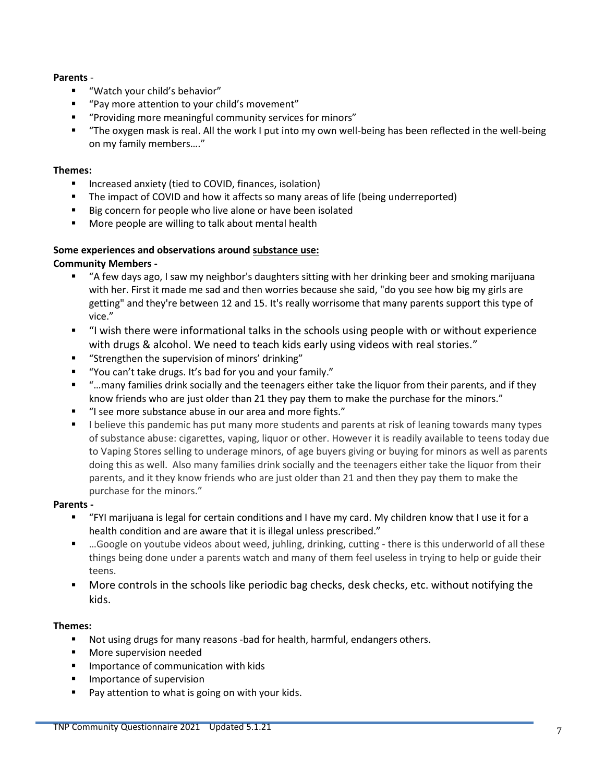# **Parents** -

- "Watch your child's behavior"
- "Pay more attention to your child's movement"
- "Providing more meaningful community services for minors"
- "The oxygen mask is real. All the work I put into my own well-being has been reflected in the well-being on my family members…."

## **Themes:**

- **Increased anxiety (tied to COVID, finances, isolation)**
- The impact of COVID and how it affects so many areas of life (being underreported)
- Big concern for people who live alone or have been isolated
- **More people are willing to talk about mental health**

# **Some experiences and observations around substance use:**

# **Community Members -**

- "A few days ago, I saw my neighbor's daughters sitting with her drinking beer and smoking marijuana with her. First it made me sad and then worries because she said, "do you see how big my girls are getting" and they're between 12 and 15. It's really worrisome that many parents support this type of vice."
- "I wish there were informational talks in the schools using people with or without experience with drugs & alcohol. We need to teach kids early using videos with real stories."
- **"** "Strengthen the supervision of minors' drinking"
- "You can't take drugs. It's bad for you and your family."
- "…many families drink socially and the teenagers either take the liquor from their parents, and if they know friends who are just older than 21 they pay them to make the purchase for the minors."
- "I see more substance abuse in our area and more fights."
- I believe this pandemic has put many more students and parents at risk of leaning towards many types of substance abuse: cigarettes, vaping, liquor or other. However it is readily available to teens today due to Vaping Stores selling to underage minors, of age buyers giving or buying for minors as well as parents doing this as well. Also many families drink socially and the teenagers either take the liquor from their parents, and it they know friends who are just older than 21 and then they pay them to make the purchase for the minors."

## **Parents -**

- "FYI marijuana is legal for certain conditions and I have my card. My children know that I use it for a health condition and are aware that it is illegal unless prescribed."
- …Google on youtube videos about weed, juhling, drinking, cutting there is this underworld of all these things being done under a parents watch and many of them feel useless in trying to help or guide their teens.
- More controls in the schools like periodic bag checks, desk checks, etc. without notifying the kids.

# **Themes:**

- Not using drugs for many reasons -bad for health, harmful, endangers others.
- **Nore supervision needed**
- **IMPORTANCE OF COMMUNICATION WITH KIDS**
- **Importance of supervision**
- **Pay attention to what is going on with your kids.**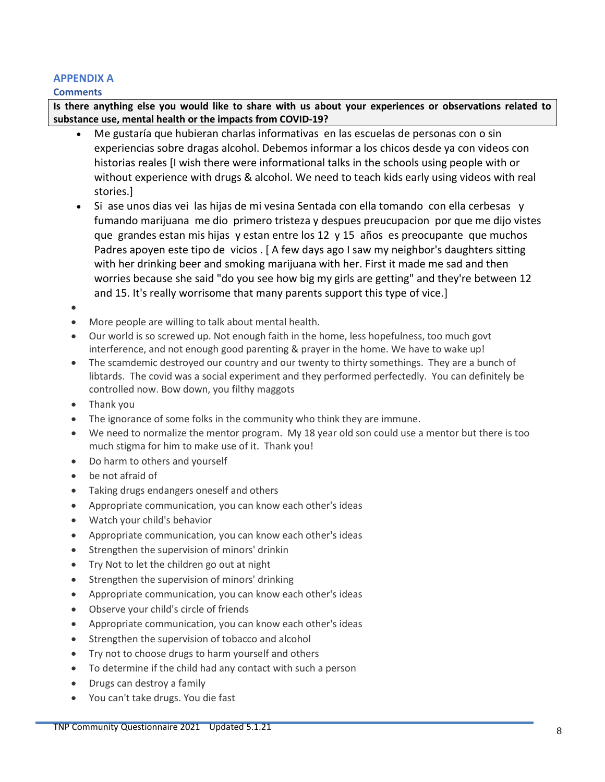# **APPENDIX A**

## **Comments**

**Is there anything else you would like to share with us about your experiences or observations related to substance use, mental health or the impacts from COVID-19?** 

- Me gustaría que hubieran charlas informativas en las escuelas de personas con o sin experiencias sobre dragas alcohol. Debemos informar a los chicos desde ya con videos con historias reales [I wish there were informational talks in the schools using people with or without experience with drugs & alcohol. We need to teach kids early using videos with real stories.]
- Si ase unos dias vei las hijas de mi vesina Sentada con ella tomando con ella cerbesas y fumando marijuana me dio primero tristeza y despues preucupacion por que me dijo vistes que grandes estan mis hijas y estan entre los 12 y 15 años es preocupante que muchos Padres apoyen este tipo de vicios . [ A few days ago I saw my neighbor's daughters sitting with her drinking beer and smoking marijuana with her. First it made me sad and then worries because she said "do you see how big my girls are getting" and they're between 12 and 15. It's really worrisome that many parents support this type of vice.]
- $\bullet$
- More people are willing to talk about mental health.
- Our world is so screwed up. Not enough faith in the home, less hopefulness, too much govt interference, and not enough good parenting & prayer in the home. We have to wake up!
- The scamdemic destroyed our country and our twenty to thirty somethings. They are a bunch of libtards. The covid was a social experiment and they performed perfectedly. You can definitely be controlled now. Bow down, you filthy maggots
- Thank you
- The ignorance of some folks in the community who think they are immune.
- We need to normalize the mentor program. My 18 year old son could use a mentor but there is too much stigma for him to make use of it. Thank you!
- Do harm to others and yourself
- be not afraid of
- Taking drugs endangers oneself and others
- Appropriate communication, you can know each other's ideas
- Watch your child's behavior
- Appropriate communication, you can know each other's ideas
- Strengthen the supervision of minors' drinkin
- Try Not to let the children go out at night
- Strengthen the supervision of minors' drinking
- Appropriate communication, you can know each other's ideas
- Observe your child's circle of friends
- Appropriate communication, you can know each other's ideas
- Strengthen the supervision of tobacco and alcohol
- Try not to choose drugs to harm yourself and others
- To determine if the child had any contact with such a person
- Drugs can destroy a family
- You can't take drugs. You die fast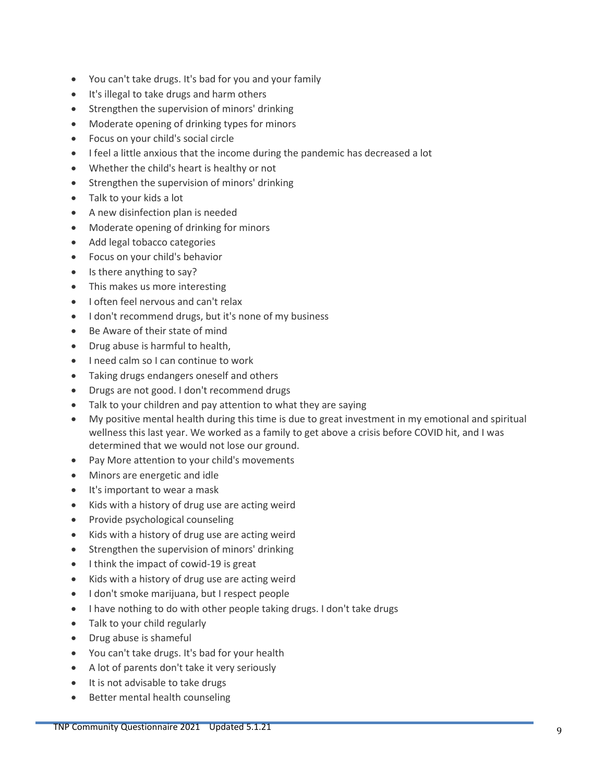- You can't take drugs. It's bad for you and your family
- It's illegal to take drugs and harm others
- Strengthen the supervision of minors' drinking
- Moderate opening of drinking types for minors
- Focus on your child's social circle
- I feel a little anxious that the income during the pandemic has decreased a lot
- Whether the child's heart is healthy or not
- Strengthen the supervision of minors' drinking
- Talk to your kids a lot
- A new disinfection plan is needed
- Moderate opening of drinking for minors
- Add legal tobacco categories
- Focus on your child's behavior
- Is there anything to say?
- This makes us more interesting
- I often feel nervous and can't relax
- I don't recommend drugs, but it's none of my business
- Be Aware of their state of mind
- Drug abuse is harmful to health,
- I need calm so I can continue to work
- Taking drugs endangers oneself and others
- Drugs are not good. I don't recommend drugs
- Talk to your children and pay attention to what they are saying
- My positive mental health during this time is due to great investment in my emotional and spiritual wellness this last year. We worked as a family to get above a crisis before COVID hit, and I was determined that we would not lose our ground.
- Pay More attention to your child's movements
- Minors are energetic and idle
- It's important to wear a mask
- Kids with a history of drug use are acting weird
- Provide psychological counseling
- Kids with a history of drug use are acting weird
- Strengthen the supervision of minors' drinking
- I think the impact of cowid-19 is great
- Kids with a history of drug use are acting weird
- I don't smoke marijuana, but I respect people
- I have nothing to do with other people taking drugs. I don't take drugs
- Talk to your child regularly
- Drug abuse is shameful
- You can't take drugs. It's bad for your health
- A lot of parents don't take it very seriously
- It is not advisable to take drugs
- Better mental health counseling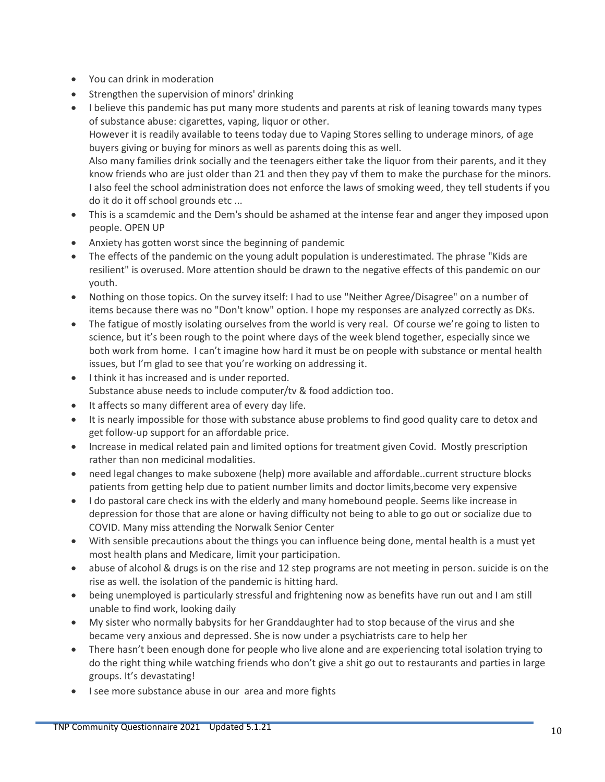- You can drink in moderation
- Strengthen the supervision of minors' drinking
- I believe this pandemic has put many more students and parents at risk of leaning towards many types of substance abuse: cigarettes, vaping, liquor or other. However it is readily available to teens today due to Vaping Stores selling to underage minors, of age buyers giving or buying for minors as well as parents doing this as well. Also many families drink socially and the teenagers either take the liquor from their parents, and it they know friends who are just older than 21 and then they pay vf them to make the purchase for the minors. I also feel the school administration does not enforce the laws of smoking weed, they tell students if you do it do it off school grounds etc ...
- This is a scamdemic and the Dem's should be ashamed at the intense fear and anger they imposed upon people. OPEN UP
- Anxiety has gotten worst since the beginning of pandemic
- The effects of the pandemic on the young adult population is underestimated. The phrase "Kids are resilient" is overused. More attention should be drawn to the negative effects of this pandemic on our youth.
- Nothing on those topics. On the survey itself: I had to use "Neither Agree/Disagree" on a number of items because there was no "Don't know" option. I hope my responses are analyzed correctly as DKs.
- The fatigue of mostly isolating ourselves from the world is very real. Of course we're going to listen to science, but it's been rough to the point where days of the week blend together, especially since we both work from home. I can't imagine how hard it must be on people with substance or mental health issues, but I'm glad to see that you're working on addressing it.
- I think it has increased and is under reported. Substance abuse needs to include computer/tv & food addiction too.
- It affects so many different area of every day life.
- It is nearly impossible for those with substance abuse problems to find good quality care to detox and get follow-up support for an affordable price.
- Increase in medical related pain and limited options for treatment given Covid. Mostly prescription rather than non medicinal modalities.
- need legal changes to make suboxene (help) more available and affordable..current structure blocks patients from getting help due to patient number limits and doctor limits,become very expensive
- I do pastoral care check ins with the elderly and many homebound people. Seems like increase in depression for those that are alone or having difficulty not being to able to go out or socialize due to COVID. Many miss attending the Norwalk Senior Center
- With sensible precautions about the things you can influence being done, mental health is a must yet most health plans and Medicare, limit your participation.
- abuse of alcohol & drugs is on the rise and 12 step programs are not meeting in person. suicide is on the rise as well. the isolation of the pandemic is hitting hard.
- being unemployed is particularly stressful and frightening now as benefits have run out and I am still unable to find work, looking daily
- My sister who normally babysits for her Granddaughter had to stop because of the virus and she became very anxious and depressed. She is now under a psychiatrists care to help her
- There hasn't been enough done for people who live alone and are experiencing total isolation trying to do the right thing while watching friends who don't give a shit go out to restaurants and parties in large groups. It's devastating!
- I see more substance abuse in our area and more fights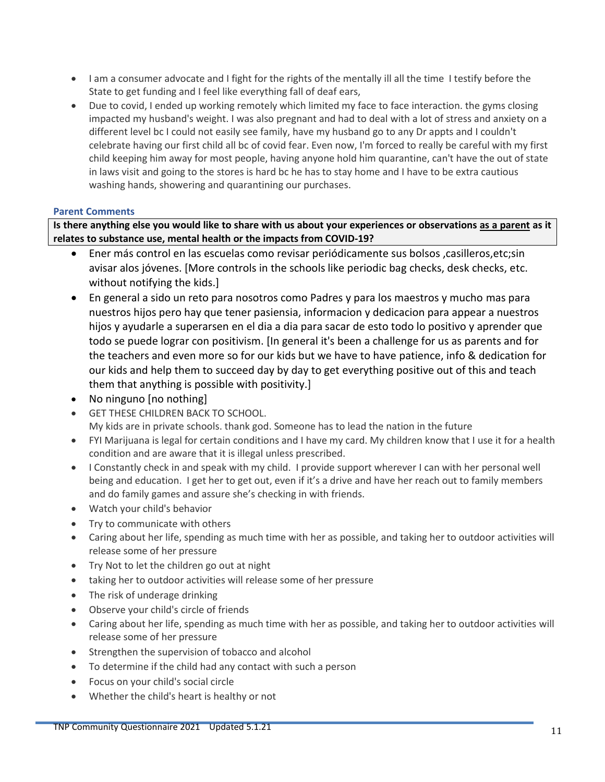- I am a consumer advocate and I fight for the rights of the mentally ill all the time I testify before the State to get funding and I feel like everything fall of deaf ears,
- Due to covid, I ended up working remotely which limited my face to face interaction. the gyms closing impacted my husband's weight. I was also pregnant and had to deal with a lot of stress and anxiety on a different level bc I could not easily see family, have my husband go to any Dr appts and I couldn't celebrate having our first child all bc of covid fear. Even now, I'm forced to really be careful with my first child keeping him away for most people, having anyone hold him quarantine, can't have the out of state in laws visit and going to the stores is hard bc he has to stay home and I have to be extra cautious washing hands, showering and quarantining our purchases.

## **Parent Comments**

**Is there anything else you would like to share with us about your experiences or observations as a parent as it relates to substance use, mental health or the impacts from COVID-19?** 

- Ener más control en las escuelas como revisar periódicamente sus bolsos ,casilleros,etc;sin avisar alos jóvenes. [More controls in the schools like periodic bag checks, desk checks, etc. without notifying the kids.]
- En general a sido un reto para nosotros como Padres y para los maestros y mucho mas para nuestros hijos pero hay que tener pasiensia, informacion y dedicacion para appear a nuestros hijos y ayudarle a superarsen en el dia a dia para sacar de esto todo lo positivo y aprender que todo se puede lograr con positivism. [In general it's been a challenge for us as parents and for the teachers and even more so for our kids but we have to have patience, info & dedication for our kids and help them to succeed day by day to get everything positive out of this and teach them that anything is possible with positivity.]
- No ninguno [no nothing]
- GET THESE CHILDREN BACK TO SCHOOL. My kids are in private schools. thank god. Someone has to lead the nation in the future
- FYI Marijuana is legal for certain conditions and I have my card. My children know that I use it for a health condition and are aware that it is illegal unless prescribed.
- I Constantly check in and speak with my child. I provide support wherever I can with her personal well being and education. I get her to get out, even if it's a drive and have her reach out to family members and do family games and assure she's checking in with friends.
- Watch your child's behavior
- Try to communicate with others
- Caring about her life, spending as much time with her as possible, and taking her to outdoor activities will release some of her pressure
- Try Not to let the children go out at night
- taking her to outdoor activities will release some of her pressure
- The risk of underage drinking
- Observe your child's circle of friends
- Caring about her life, spending as much time with her as possible, and taking her to outdoor activities will release some of her pressure
- Strengthen the supervision of tobacco and alcohol
- To determine if the child had any contact with such a person
- Focus on your child's social circle
- Whether the child's heart is healthy or not